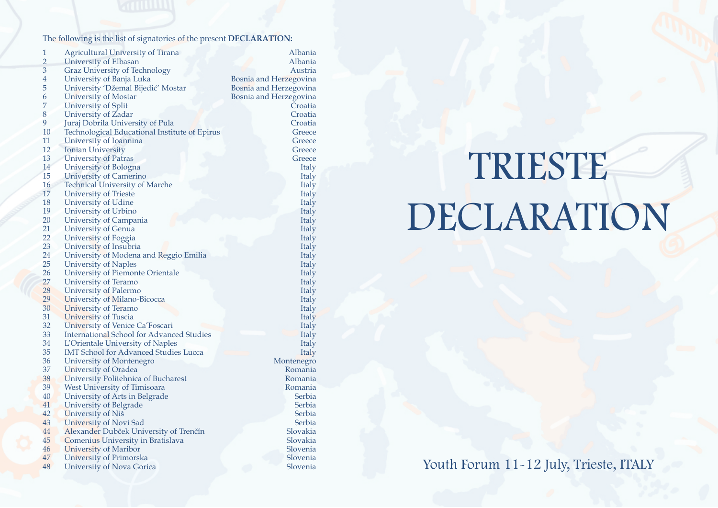# TRIESTE DECLARATION

Youth Forum 11-12 July, Trieste, ITALY

The following is the list of signatories of the present **DECLARATION:**

| $\mathbf{1}$   | <b>Agricultural University of Tirana</b>         | Albania                |
|----------------|--------------------------------------------------|------------------------|
| $\overline{2}$ | <b>University of Elbasan</b>                     | Albania                |
| $\mathfrak{Z}$ | <b>Graz University of Technology</b>             | Austria                |
| $\overline{4}$ | University of Banja Luka                         | Bosnia and Herzegovina |
| 5              | University 'Džemal Bijedić' Mostar               | Bosnia and Herzegovina |
| 6              | <b>University of Mostar</b>                      | Bosnia and Herzegovina |
| 7              | <b>University of Split</b>                       | Croatia                |
| 8              | <b>University of Zadar</b>                       | Croatia                |
| 9              | Juraj Dobrila University of Pula                 | Croatia                |
| 10             | Technological Educational Institute of Epirus    | Greece                 |
| 11             | University of Ioannina                           | Greece                 |
| 12             | <b>Ionian University</b>                         | Greece                 |
| 13             | <b>University of Patras</b>                      | Greece                 |
| 14             | University of Bologna                            | <b>Italy</b>           |
| 15             | <b>University of Camerino</b>                    | <b>Italy</b>           |
| 16             | <b>Technical University of Marche</b>            | <b>Italy</b>           |
| 17             | <b>University of Trieste</b>                     | <b>Italy</b>           |
| 18             | <b>University of Udine</b>                       | <b>Italy</b>           |
| 19             | University of Urbino                             |                        |
| 20             |                                                  | <b>Italy</b>           |
| 21             | <b>University of Campania</b>                    | Italy                  |
| 22             | <b>University of Genua</b>                       | Italy                  |
| 23             | University of Foggia                             | Italy                  |
|                | University of Insubria                           | Italy                  |
| 24             | University of Modena and Reggio Emilia           | <b>Italy</b>           |
| 25             | <b>University of Naples</b>                      | <b>Italy</b>           |
| 26             | <b>University of Piemonte Orientale</b>          | <b>Italy</b>           |
| 27             | <b>University of Teramo</b>                      | <b>Italy</b>           |
| 28             | <b>University of Palermo</b>                     | <b>Italy</b>           |
| 29             | University of Milano-Bicocca                     | <b>Italy</b>           |
| 30             | <b>University of Teramo</b>                      | <b>Italy</b>           |
| 31             | <b>University of Tuscia</b>                      | Italy                  |
| 32             | University of Venice Ca'Foscari                  | <b>Italy</b>           |
| 33             | <b>International School for Advanced Studies</b> | <b>Italy</b>           |
| 34             | L'Orientale University of Naples                 | <b>Italy</b>           |
| 35             | <b>IMT School for Advanced Studies Lucca</b>     | <b>Italy</b>           |
| 36             | <b>University of Montenegro</b>                  | Montenegro             |
| 37             | <b>University of Oradea</b>                      | Romania                |
| 38             | University Politehnica of Bucharest              | Romania                |
| 39             | <b>West University of Timisoara</b>              | Romania                |
| 40             | University of Arts in Belgrade                   | Serbia                 |
| 41             | <b>University of Belgrade</b>                    | Serbia                 |
| 42             | University of Niš                                | Serbia                 |
| 43             | University of Novi Sad                           | Serbia                 |
| 44             | Alexander Dubček University of Trenčín           | Slovakia               |
| 45             | <b>Comenius University in Bratislava</b>         | Slovakia               |
| 46             | <b>University of Maribor</b>                     | Slovenia               |
| 47             | <b>University of Primorska</b>                   | Slovenia               |
| 48             | <b>University of Nova Gorica</b>                 | Slovenia               |
|                |                                                  |                        |